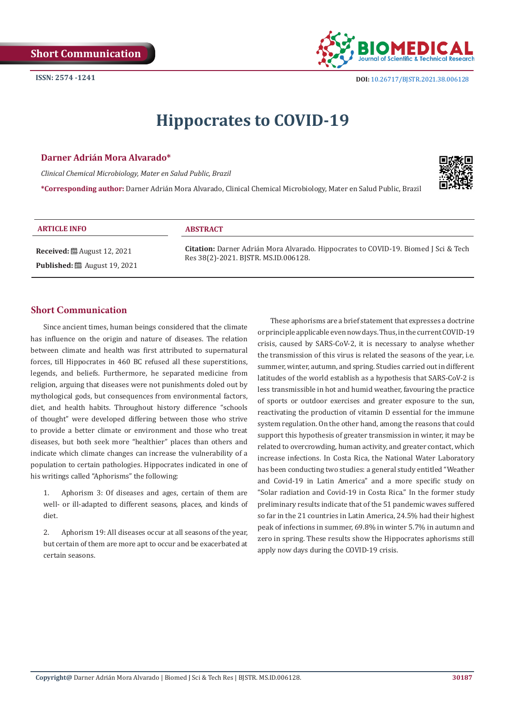

# **Hippocrates to COVID-19**

### **Darner Adrián Mora Alvarado\***

*Clinical Chemical Microbiology, Mater en Salud Public, Brazil*

**\*Corresponding author:** Darner Adrián Mora Alvarado, Clinical Chemical Microbiology, Mater en Salud Public, Brazil



#### **ARTICLE INFO ABSTRACT**

**Received:** August 12, 2021 **Published:** ■ August 19, 2021

**Citation:** Darner Adrián Mora Alvarado. Hippocrates to COVID-19. Biomed J Sci & Tech Res 38(2)-2021. BJSTR. MS.ID.006128.

### **Short Communication**

Since ancient times, human beings considered that the climate has influence on the origin and nature of diseases. The relation between climate and health was first attributed to supernatural forces, till Hippocrates in 460 BC refused all these superstitions, legends, and beliefs. Furthermore, he separated medicine from religion, arguing that diseases were not punishments doled out by mythological gods, but consequences from environmental factors, diet, and health habits. Throughout history difference "schools of thought" were developed differing between those who strive to provide a better climate or environment and those who treat diseases, but both seek more "healthier" places than others and indicate which climate changes can increase the vulnerability of a population to certain pathologies. Hippocrates indicated in one of his writings called "Aphorisms" the following:

1. Aphorism 3: Of diseases and ages, certain of them are well- or ill-adapted to different seasons, places, and kinds of diet.

2. Aphorism 19: All diseases occur at all seasons of the year, but certain of them are more apt to occur and be exacerbated at certain seasons.

These aphorisms are a brief statement that expresses a doctrine or principle applicable even now days. Thus, in the current COVID-19 crisis, caused by SARS-CoV-2, it is necessary to analyse whether the transmission of this virus is related the seasons of the year, i.e. summer, winter, autumn, and spring. Studies carried out in different latitudes of the world establish as a hypothesis that SARS-CoV-2 is less transmissible in hot and humid weather, favouring the practice of sports or outdoor exercises and greater exposure to the sun, reactivating the production of vitamin D essential for the immune system regulation. On the other hand, among the reasons that could support this hypothesis of greater transmission in winter, it may be related to overcrowding, human activity, and greater contact, which increase infections. In Costa Rica, the National Water Laboratory has been conducting two studies: a general study entitled "Weather and Covid-19 in Latin America" and a more specific study on "Solar radiation and Covid-19 in Costa Rica." In the former study preliminary results indicate that of the 51 pandemic waves suffered so far in the 21 countries in Latin America, 24.5% had their highest peak of infections in summer, 69.8% in winter 5.7% in autumn and zero in spring. These results show the Hippocrates aphorisms still apply now days during the COVID-19 crisis.